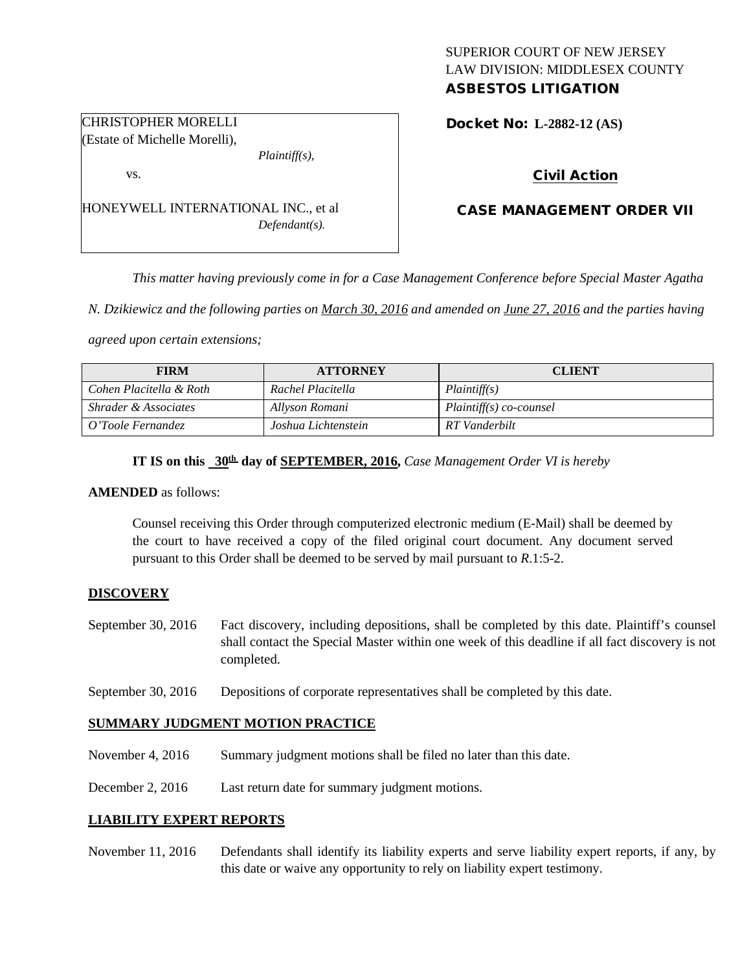## SUPERIOR COURT OF NEW JERSEY LAW DIVISION: MIDDLESEX COUNTY ASBESTOS LITIGATION

Docket No: **L-2882-12 (AS)** 

## Civil Action

## CASE MANAGEMENT ORDER VII

*This matter having previously come in for a Case Management Conference before Special Master Agatha* 

*N. Dzikiewicz and the following parties on March 30, 2016 and amended on June 27, 2016 and the parties having* 

*agreed upon certain extensions;*

| <b>FIRM</b>                     | <b>ATTORNEY</b>     | <b>CLIENT</b>             |
|---------------------------------|---------------------|---------------------------|
| Cohen Placitella & Roth         | Rachel Placitella   | Plaintiff(s)              |
| <i>Shrader &amp; Associates</i> | Allyson Romani      | $Plaintiff(s) co-coursel$ |
| O'Toole Fernandez               | Joshua Lichtenstein | RT Vanderbilt             |

# **IT IS on this 30th day of SEPTEMBER, 2016,** *Case Management Order VI is hereby*

#### **AMENDED** as follows:

Counsel receiving this Order through computerized electronic medium (E-Mail) shall be deemed by the court to have received a copy of the filed original court document. Any document served pursuant to this Order shall be deemed to be served by mail pursuant to *R*.1:5-2.

#### **DISCOVERY**

- September 30, 2016 Fact discovery, including depositions, shall be completed by this date. Plaintiff's counsel shall contact the Special Master within one week of this deadline if all fact discovery is not completed.
- September 30, 2016 Depositions of corporate representatives shall be completed by this date.

### **SUMMARY JUDGMENT MOTION PRACTICE**

- November 4, 2016 Summary judgment motions shall be filed no later than this date.
- December 2, 2016 Last return date for summary judgment motions.

#### **LIABILITY EXPERT REPORTS**

November 11, 2016 Defendants shall identify its liability experts and serve liability expert reports, if any, by this date or waive any opportunity to rely on liability expert testimony.

CHRISTOPHER MORELLI (Estate of Michelle Morelli),

HONEYWELL INTERNATIONAL INC., et al

*Plaintiff(s),*

*Defendant(s).*

vs.